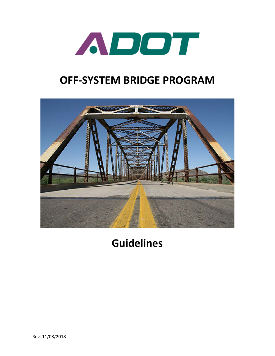

# **OFF-SYSTEM BRIDGE PROGRAM**



# **Guidelines**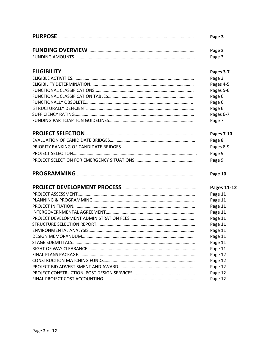| Page 3             |
|--------------------|
| Page 3             |
| Page 3             |
| Pages 3-7          |
| Page 3             |
| Pages 4-5          |
| Pages 5-6          |
| Page 6             |
| Page 6             |
| Page 6             |
| Pages 6-7          |
| Page 7             |
| <b>Pages 7-10</b>  |
| Page 8             |
| Pages 8-9          |
| Page 9             |
| Page 9             |
| Page 10            |
| <b>Pages 11-12</b> |
| Page 11            |
| Page 11            |
| Page 11            |
| Page 11            |
| Page 11            |
| Page 11            |
| Page 11            |
| Page 11            |
| Page 11            |
| Page 11            |
| Page 12            |
| Page 12            |
| Page 12            |
| Page 12            |
| Page 12            |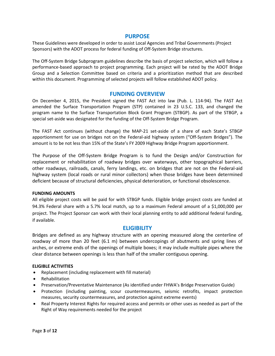# **PURPOSE**

These Guidelines were developed in order to assist Local Agencies and Tribal Governments (Project Sponsors) with the ADOT process for federal funding of Off-System Bridge structures.

The Off-System Bridge Subprogram guidelines describe the basis of project selection, which will follow a performance-based approach to project programming. Each project will be rated by the ADOT Bridge Group and a Selection Committee based on criteria and a prioritization method that are described within this document. Programming of selected projects will follow established ADOT policy.

# **FUNDING OVERVIEW**

On December 4, 2015, the President signed the FAST Act into law (Pub. L. 114-94). The FAST Act amended the Surface Transportation Program (STP) contained in 23 U.S.C. 133, and changed the program name to the Surface Transportation Block Grant Program (STBGP). As part of the STBGP, a special set-aside was designated for the funding of the Off-System Bridge Program.

The FAST Act continues (without change) the MAP-21 set-aside of a share of each State's STBGP apportionment for use on bridges not on the Federal-aid highway system ("Off-System Bridges"). The amount is to be not less than 15% of the State's FY 2009 Highway Bridge Program apportionment.

The Purpose of the Off-System Bridge Program is to fund the Design and/or Construction for replacement or rehabilitation of roadway bridges over waterways, other topographical barriers, other roadways, railroads, canals, ferry landings, etc. on bridges that are not on the Federal-aid highway system (local roads or rural minor collectors) when those bridges have been determined deficient because of structural deficiencies, physical deterioration, or functional obsolescence.

#### **FUNDING AMOUNTS**

All eligible project costs will be paid for with STBGP funds. Eligible bridge project costs are funded at 94.3% Federal share with a 5.7% local match, up to a maximum Federal amount of a \$1,000,000 per project. The Project Sponsor can work with their local planning entity to add additional federal funding, if available.

# **ELIGIBILITY**

Bridges are defined as any highway structure with an opening measured along the centerline of roadway of more than 20 feet (6.1 m) between undercopings of abutments and spring lines of arches, or extreme ends of the openings of multiple boxes; it may include multiple pipes where the clear distance between openings is less than half of the smaller contiguous opening.

#### **ELIGIBLE ACTIVITIES**

- Replacement (including replacement with fill material)
- Rehabilitation
- Preservation/Preventative Maintenance (As identified under FHWA's Bridge Preservation Guide)
- Protection (including painting, scour countermeasures, seismic retrofits, impact protection measures, security countermeasures, and protection against extreme events)
- Real Property Interest Rights for required access and permits or other uses as needed as part of the Right of Way requirements needed for the project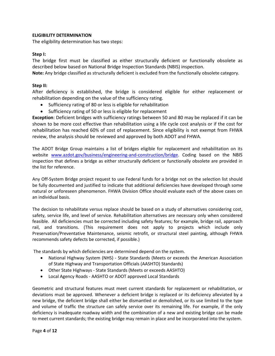# **ELIGIBILITY DETERMINATION**

The eligibility determination has two steps:

# **Step I:**

The bridge first must be classified as either structurally deficient or functionally obsolete as described below based on National Bridge Inspection Standards (NBIS) inspection.

**Note:** Any bridge classified as structurally deficient is excluded from the functionally obsolete category.

# **Step II:**

After deficiency is established, the bridge is considered eligible for either replacement or rehabilitation depending on the value of the sufficiency rating.

- Sufficiency rating of 80 or less is eligible for rehabilitation
- Sufficiency rating of 50 or less is eligible for replacement

**Exception**: Deficient bridges with sufficiency ratings between 50 and 80 may be replaced if it can be shown to be more cost effective than rehabilitation using a life cycle cost analysis or if the cost for rehabilitation has reached 60% of cost of replacement. Since eligibility is not exempt from FHWA review, the analysis should be reviewed and approved by both ADOT and FHWA.

The ADOT Bridge Group maintains a list of bridges eligible for replacement and rehabilitation on its website [www.azdot.gov/business/engineering-and-construction/bridge.](http://www.azdot.gov/business/engineering-and-construction/bridge) Coding based on the NBIS inspection that defines a bridge as either structurally deficient or functionally obsolete are provided in the list for reference.

Any Off-System Bridge project request to use Federal funds for a bridge not on the selection list should be fully documented and justified to indicate that additional deficiencies have developed through some natural or unforeseen phenomenon. FHWA Division Office should evaluate each of the above cases on an individual basis.

The decision to rehabilitate versus replace should be based on a study of alternatives considering cost, safety, service life, and level of service. Rehabilitation alternatives are necessary only when considered feasible. All deficiencies must be corrected including safety features; for example, bridge rail, approach rail, and transitions. (This requirement does not apply to projects which include only Preservation/Preventative Maintenance, seismic retrofit, or structural steel painting, although FHWA recommends safety defects be corrected, if possible.)

The standards by which deficiencies are determined depend on the system.

- National Highway System (NHS) State Standards (Meets or exceeds the American Association of State Highway and Transportation Officials (AASHTO) Standards)
- Other State Highways State Standards (Meets or exceeds AASHTO)
- Local Agency Roads AASHTO or ADOT approved Local Standards

Geometric and structural features must meet current standards for replacement or rehabilitation, or deviations must be approved. Whenever a deficient bridge is replaced or its deficiency alleviated by a new bridge, the deficient bridge shall either be dismantled or demolished, or its use limited to the type and volume of traffic the structure can safely service over its remaining life. For example, if the only deficiency is inadequate roadway width and the combination of a new and existing bridge can be made to meet current standards; the existing bridge may remain in place and be incorporated into the system.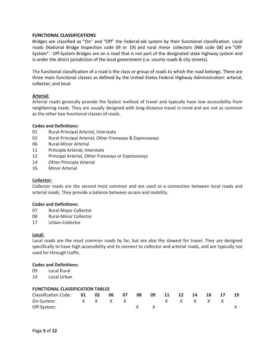# **FUNCTIONAL CLASSIFICATIONS**

Bridges are classified as "On" and "Off" the Federal-aid system by their functional classification. Local roads (National Bridge Inspection code 09 or 19) and rural minor collectors (NBI code 08) are "Off-System". Off-System Bridges are on a road that is not part of the designated state highway system and is under the direct jurisdiction of the local government (i.e. county roads & city streets).

The functional classification of a [road](https://en.wikipedia.org/wiki/Road) is the class or group of roads to which the road belongs. There are three main functional classes as defined by the [United States](https://en.wikipedia.org/wiki/United_States) [Federal Highway Administration:](https://en.wikipedia.org/wiki/Federal_Highway_Administration) arterial, collector, and local.

## **Arterial:**

Arterial roads generally provide the fastest method of travel and typically have low accessibility from neighboring roads. They are usually designed with long-distance travel in mind and are not as common as the other two functional classes of roads.

#### **Codes and Definitions:**

- 01 Rural-Principal Arterial, Interstate
- 02 Rural-Principal Arterial, Other Freeways & Expressways
- 06 Rural-Minor Arterial
- 11 Principle Arterial, Interstate
- 12 Principal Arterial, Other Freeways or Expressways
- 14 Other Principle Arterial
- 16 Minor Arterial

#### **Collector:**

Collector roads are the second most common and are used as a connection between local roads and arterial roads. They provide a balance between access and mobility.

#### **Codes and Definitions:**

- 07 Rural-Major Collector
- 08 Rural-Minor Collector
- 17 Urban-Collector

#### **Local:**

Local roads are the most common roads by far, but are also the slowest for travel. They are designed specifically to have high accessibility and to connect to collector and arterial roads, and are typically not used for through traffic.

#### **Codes and Definitions:**

- 09 Local Rural
- 19 Local Urban

| <b>FUNCTIONAL CLASSIFICATION TABLES</b> |  |  |  |  |     |                                                                                   |    |  |             |  |  |    |
|-----------------------------------------|--|--|--|--|-----|-----------------------------------------------------------------------------------|----|--|-------------|--|--|----|
| Classification Code: 01 02 06 07        |  |  |  |  | 08  | 09                                                                                | 11 |  | 12 14 16 17 |  |  | 19 |
| On-System:                              |  |  |  |  |     | $\begin{array}{ccccc}\times&\times&\times&\times&\times&\times&\times\end{array}$ |    |  |             |  |  |    |
| Off-System:                             |  |  |  |  | x x |                                                                                   |    |  |             |  |  |    |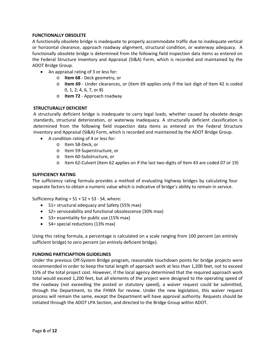# **FUNCTIONALLY OBSOLETE**

A functionally obsolete bridge is inadequate to properly accommodate traffic due to inadequate vertical or horizontal clearance, approach roadway alignment, structural condition, or waterway adequacy. A functionally obsolete bridge is determined from the following field inspection data items as entered on the Federal Structure Inventory and Appraisal (SI&A) Form, which is recorded and maintained by the ADOT Bridge Group.

- An appraisal rating of 3 or less for:
	- o **Item 68** Deck geometry, or
	- o **Item 69** Under clearances, or (Item 69 applies only if the last digit of Item 42 is coded 0, 1, 2, 4, 6, 7, or 8)
	- o **Item 72** Approach roadway

# **STRUCTURALLY DEFICIENT**

A structurally deficient bridge is inadequate to carry legal loads, whether caused by obsolete design standards, structural deterioration, or waterway inadequacy. A structurally deficient classification is determined from the following field inspection data items as entered on the Federal Structure Inventory and Appraisal (SI&A) Form, which is recorded and maintained by the ADOT Bridge Group.

- A condition rating of 4 or less for:
	- o Item 58-Deck, or
	- o Item 59-Superstructure, or
	- o Item 60-Substructure, or
	- o Item 62-Culvert (Item 62 applies on if the last two digits of Item 43 are coded 07 or 19)

## **SUFFICIENCY RATING**

The sufficiency rating formula provides a method of evaluating highway bridges by calculating four separate factors to obtain a numeric value which is indicative of bridge's ability to remain in service.

Sufficiency Rating =  $S1 + S2 + S3 - S4$ , where:

- S1= structural adequacy and Safety (55% max)
- S2= serviceability and functional obsolescence (30% max)
- S3= essentiality for public use (15% max)
- S4= special reductions (13% max)

Using this rating formula, a percentage is calculated on a scale ranging from 100 percent (an entirely sufficient bridge) to zero percent (an entirely deficient bridge).

#### **FUNDING PARTICIAPTION GUIDELINES**

Under the previous Off-System Bridge program, reasonable touchdown points for bridge projects were recommended in order to keep the total length of approach work at less than 1,200 feet, not to exceed 15% of the total project cost. However, if the local agency determined that the required approach work total would exceed 1,200 feet, but all elements of the project were designed to the operating speed of the roadway (not exceeding the posted or statutory speed), a waiver request could be submitted, through the Department, to the FHWA for review. Under the new legislation, this waiver request process will remain the same, except the Department will have approval authority. Requests should be initiated through the ADOT LPA Section, and directed to the Bridge Group within ADOT.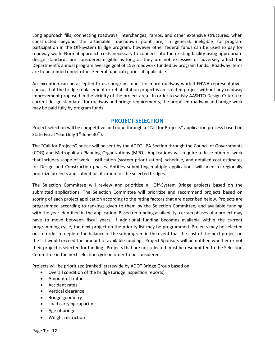Long approach fills, connecting roadways, interchanges, ramps, and other extensive structures, when constructed beyond the attainable touchdown point are, in general, ineligible for program participation in the Off-System Bridge program, however other federal funds can be used to pay for roadway work. Normal approach costs necessary to connect into the existing facility using appropriate design standards are considered eligible as long as they are not excessive or adversely affect the Department's annual program average goal of 15% roadwork funded by program funds. Roadway items are to be funded under other Federal fund categories, if applicable.

An exception can be accepted to use program funds for more roadway work if FHWA representatives concur that the bridge replacement or rehabilitation project is an isolated project without any roadway improvement proposed in the vicinity of the project area. In order to satisfy AASHTO Design Criteria to current design standards for roadway and bridge requirements, the proposed roadway and bridge work may be paid fully by program funds.

# **PROJECT SELECTION**

Project selection will be competitive and done through a "Call for Projects" application process based on State Fiscal Year (July  $1<sup>st</sup>$ -June 30<sup>th</sup>).

The "Call for Projects" notice will be sent by the ADOT LPA Section through the Council of Governments (COG) and Metropolitan Planning Organizations (MPO). Applications will require a description of work that includes scope of work, justification (system prioritization), schedule, and detailed cost estimates for Design and Construction phases. Entities submitting multiple applications will need to regionally prioritize projects and submit justification for the selected bridges.

The Selection Committee will review and prioritize all Off-System Bridge projects based on the submitted applications. The Selection Committee will prioritize and recommend projects based on scoring of each project application according to the rating factors that are described below. Projects are programmed according to rankings given to them by the Selection Committee, and available funding with the year identified in the application. Based on funding availability, certain phases of a project may have to move between fiscal years. If additional funding becomes available within the current programming cycle, the next project on the priority list may be programmed. Projects may be selected out of order to deplete the balance of the subprogram in the event that the cost of the next project on the list would exceed the amount of available funding. Project Sponsors will be notified whether or not their project is selected for funding. Projects that are not selected must be resubmitted to the Selection Committee in the next selection cycle in order to be considered.

Projects will be prioritized (ranked) statewide by ADOT Bridge Group based on:

- Overall condition of the bridge (bridge inspection reports)
- Amount of traffic
- Accident rates
- Vertical clearance
- Bridge geometry
- Load carrying capacity
- Age of bridge
- Weight restriction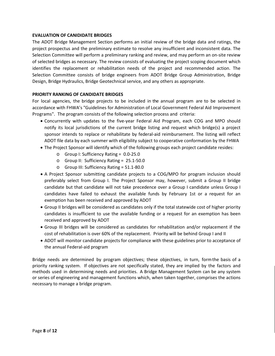# **EVALUATION OF CANIDIDATE BRIDGES**

The ADOT Bridge Management Section performs an initial review of the bridge data and ratings, the project prospectus and the preliminary estimate to resolve any insufficient and inconsistent data. The Selection Committee will perform a preliminary ranking and review, and may perform an on-site review of selected bridges as necessary. The review consists of evaluating the project scoping document which identifies the replacement or rehabilitation needs of the project and recommended action. The Selection Committee consists of bridge engineers from ADOT Bridge Group Administration, Bridge Design, Bridge Hydraulics, Bridge Geotechnical service, and any others as appropriate.

## **PRIORITY RANKING OF CANDIDATE BRIDGES**

For local agencies, the bridge projects to be included in the annual program are to be selected in accordance with FHWA's "Guidelines for Administration of Local Government Federal Aid Improvement Programs". The program consists of the following selection process and criteria:

- Concurrently with updates to the five-year Federal Aid Program, each COG and MPO should notify its local jurisdictions of the current bridge listing and request which bridge(s) a project sponsor intends to replace or rehabilitate by federal-aid reimbursement. The listing will reflect ADOT file data by each summer with eligibility subject to cooperative conformation by the FHWA
- The Project Sponsor will identify which of the following groups each project candidate resides:
	- o Group I: Sufficiency Rating = 0.0-25.0
	- o Group II: Sufficiency Rating = 25.1-50.0
	- o Group III: Sufficiency Rating = 51.1-80.0
- A Project Sponsor submitting candidate projects to a COG/MPO for program inclusion should preferably select from Group I. The Project Sponsor may, however, submit a Group II bridge candidate but that candidate will not take precedence over a Group I candidate unless Group I candidates have failed to exhaust the available funds by February 1st or a request for an exemption has been received and approved by ADOT
- Group II bridges will be considered as candidates only if the total statewide cost of higher priority candidates is insufficient to use the available funding or a request for an exemption has been received and approved by ADOT
- Group III bridges will be considered as candidates for rehabilitation and/or replacement if the cost of rehabilitation is over 60% of the replacement. Priority will be behind Group I and II
- ADOT will monitor candidate projects for compliance with these guidelines prior to acceptance of the annual Federal-aid program

Bridge needs are determined by program objectives; these objectives, in turn, formthe basis of a priority ranking system. If objectives are not specifically stated, they are implied by the factors and methods used in determining needs and priorities. A Bridge Management System can be any system or series of engineering and management functions which, when taken together, comprises the actions necessary to manage a bridge program.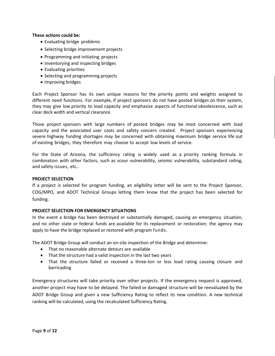## **These actions could be:**

- Evaluating bridge problems
- Selecting bridge improvement projects
- Programming and initiating projects
- Inventorying and inspecting bridges
- Evaluating priorities
- Selecting and programming projects
- Improving bridges

Each Project Sponsor has its own unique reasons for the priority points and weights assigned to different need functions. For example, if project sponsors do not have posted bridges on their system, they may give low priority to load capacity and emphasize aspects of functional obsolescence, such as clear deck width and vertical clearance.

Those project sponsors with large numbers of posted bridges may be most concerned with load capacity and the associated user costs and safety concern created. Project sponsors experiencing severe highway funding shortages may be concerned with obtaining maximum bridge service life out of existing bridges; they therefore may choose to accept low levels of service.

For the State of Arizona, the sufficiency rating is widely used as a priority ranking formula in combination with other factors, such as scour vulnerability, seismic vulnerability, substandard railing, and safety issues, etc..

#### **PROJECT SELECTION**

If a project is selected for program funding, an eligibility letter will be sent to the Project Sponsor, COG/MPO, and ADOT Technical Groups letting them know that the project has been selected for funding.

#### **PROJECT SELECTION FOR EMERGENCY SITUATIONS**

In the event a bridge has been destroyed or substantially damaged, causing an emergency situation, and no other state or federal funds are available for its replacement or restoration; the agency may apply to have the bridge replaced or restored with program funds.

The ADOT Bridge Group will conduct an on-site inspection of the Bridge and determine:

- That no reasonable alternate detours are available
- That the structure had a valid inspection in the last two years
- That the structure failed or received a three-ton or less load rating causing closure and barricading

Emergency structures will take priority over other projects. If the emergency request is approved, another project may have to be delayed. The failed or damaged structure will be reevaluated by the ADOT Bridge Group and given a new Sufficiency Rating to reflect its new condition. A new technical ranking will be calculated, using the recalculated Sufficiency Rating.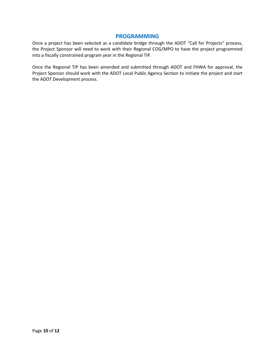# **PROGRAMMING**

Once a project has been selected as a candidate bridge through the ADOT "Call for Projects" process, the Project Sponsor will need to work with their Regional COG/MPO to have the project programmed into a fiscally constrained program year in the Regional TIP.

Once the Regional TIP has been amended and submitted through ADOT and FHWA for approval, the Project Sponsor should work with the ADOT Local Public Agency Section to initiate the project and start the ADOT Development process.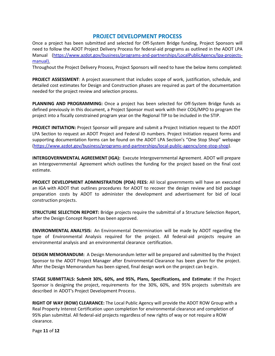# **PROJECT DEVELOPMENT PROCESS**

Once a project has been submitted and selected for Off-System Bridge funding, Project Sponsors will need to follow the ADOT Project Delivery Process for federal-aid programs as outlined in the ADOT LPA Manual [\(https://www.azdot.gov/business/programs-and-partnerships/LocalPublicAgency/lpa-projects](https://www.azdot.gov/business/programs-and-partnerships/LocalPublicAgency/lpa-projects-manual)[manual\)](https://www.azdot.gov/business/programs-and-partnerships/LocalPublicAgency/lpa-projects-manual).

Throughout the Project Delivery Process, Project Sponsors will need to have the below items completed:

**PROJECT ASSESSMENT**: A project assessment that includes scope of work, justification, schedule, and detailed cost estimates for Design and Construction phases are required as part of the documentation needed for the project review and selection process.

**PLANNING AND PROGRAMMING:** Once a project has been selected for Off-System Bridge funds as defined previously in this document, a Project Sponsor must work with their COG/MPO to program the project into a fiscally constrained program year on the Regional TIP to be included in the STIP.

**PROJECT INITIATION:** Project Sponsor will prepare and submit a Project Initiation request to the ADOT LPA Section to request an ADOT Project and Federal ID numbers. Project Initiation request forms and supporting documentation forms can be found on the ADOT LPA Section's "One Stop Shop" webpage [\(https://www.azdot.gov/business/programs-and-partnerships/local-public-agency/one-stop-shop\)](https://www.azdot.gov/business/programs-and-partnerships/local-public-agency/one-stop-shop).

**INTERGOVERNMENTAL AGREEMENT (IGA):** Execute Intergovernmental Agreement. ADOT will prepare an Intergovernmental Agreement which outlines the funding for the project based on the final cost estimate.

**PROJECT DEVELOPMENT ADMINISTRATION (PDA) FEES:** All local governments will have an executed an IGA with ADOT that outlines procedures for ADOT to recover the design review and bid package preparation costs by ADOT to administer the development and advertisement for bid of local construction projects.

**STRUCTURE SELECTION REPORT:** Bridge projects require the submittal of a Structure Selection Report, after the Design Concept Report has been approved.

**ENVIRONMENTAL ANALYSIS:** An Environmental Determination will be made by ADOT regarding the type of Environmental Analysis required for the project. All federal-aid projects require an environmental analysis and an environmental clearance certification.

**DESIGN MEMORANDUM:** A Design Memorandum letter will be prepared and submitted by the Project Sponsor to the ADOT Project Manager after Environmental Clearance has been given for the project. After the Design Memorandum has been signed, final design work on the project can begin.

**STAGE SUBMITTALS: Submit 30%, 60%, and 95%, Plans, Specifications, and Estimate:** If the Project Sponsor is designing the project, requirements for the 30%, 60%, and 95% projects submittals are described in ADOT's Project Development Process.

**RIGHT OF WAY (ROW) CLEARANCE:** The Local Public Agency will provide the ADOT ROW Group with a Real Property Interest Certification upon completion for environmental clearance and completion of 95% plan submittal. All federal-aid projects regardless of new rights of way or not require a ROW clearance.

Page **11** of **12**